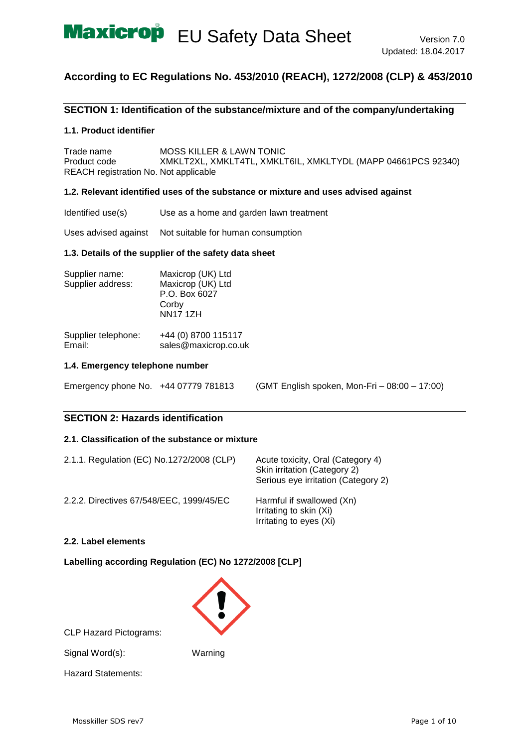

## **According to EC Regulations No. 453/2010 (REACH), 1272/2008 (CLP) & 453/2010**

## **SECTION 1: Identification of the substance/mixture and of the company/undertaking**

#### **1.1. Product identifier**

Trade name MOSS KILLER & LAWN TONIC Product code XMKLT2XL, XMKLT4TL, XMKLT6IL, XMKLTYDL (MAPP 04661PCS 92340) REACH registration No. Not applicable

#### **1.2. Relevant identified uses of the substance or mixture and uses advised against**

Identified use(s) Use as a home and garden lawn treatment

Uses advised against Not suitable for human consumption

#### **1.3. Details of the supplier of the safety data sheet**

| Supplier name:<br>Supplier address: | Maxicrop (UK) Ltd<br>Maxicrop (UK) Ltd<br>P.O. Box 6027<br>Corby<br><b>NN17 1ZH</b> |
|-------------------------------------|-------------------------------------------------------------------------------------|
|                                     |                                                                                     |

| Supplier telephone: | +44 (0) 8700 115117  |
|---------------------|----------------------|
| Email:              | sales@maxicrop.co.uk |

#### **1.4. Emergency telephone number**

| Emergency phone No. +44 07779 781813 |  | (GMT English spoken, Mon-Fri - 08:00 - 17:00) |  |
|--------------------------------------|--|-----------------------------------------------|--|
|--------------------------------------|--|-----------------------------------------------|--|

### **SECTION 2: Hazards identification**

## **2.1. Classification of the substance or mixture**

| 2.1.1. Regulation (EC) No.1272/2008 (CLP) | Acute toxicity, Oral (Category 4)<br>Skin irritation (Category 2)<br>Serious eye irritation (Category 2) |
|-------------------------------------------|----------------------------------------------------------------------------------------------------------|
| 2.2.2. Directives 67/548/EEC, 1999/45/EC  | Harmful if swallowed (Xn)<br>Irritating to skin (Xi)<br>Irritating to eyes (Xi)                          |

### **2.2. Label elements**

## **Labelling according Regulation (EC) No 1272/2008 [CLP]**



CLP Hazard Pictograms:

Signal Word(s): Warning

Hazard Statements: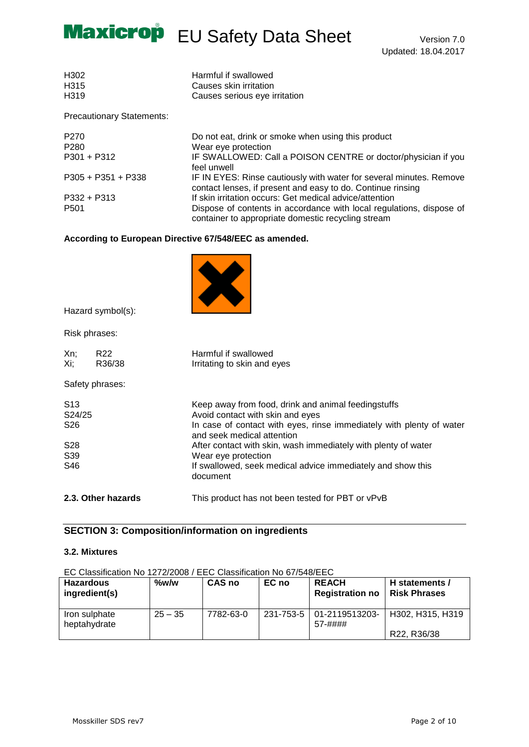

| H302 | Harmful if swallowed          |
|------|-------------------------------|
| H315 | Causes skin irritation        |
| H319 | Causes serious eye irritation |

Precautionary Statements:

| P <sub>270</sub><br>P <sub>280</sub> | Do not eat, drink or smoke when using this product<br>Wear eye protection                                                          |
|--------------------------------------|------------------------------------------------------------------------------------------------------------------------------------|
| $P301 + P312$                        | IF SWALLOWED: Call a POISON CENTRE or doctor/physician if you<br>feel unwell                                                       |
| $P305 + P351 + P338$                 | IF IN EYES: Rinse cautiously with water for several minutes. Remove<br>contact lenses, if present and easy to do. Continue rinsing |
| $P332 + P313$                        | If skin irritation occurs: Get medical advice/attention                                                                            |
| P <sub>501</sub>                     | Dispose of contents in accordance with local regulations, dispose of<br>container to appropriate domestic recycling stream         |

## **According to European Directive 67/548/EEC as amended.**



Hazard symbol(s):

Risk phrases:

| Xn;<br>Xi;                | R <sub>22</sub><br>R36/38 | Harmful if swallowed<br>Irritating to skin and eyes                                                |
|---------------------------|---------------------------|----------------------------------------------------------------------------------------------------|
|                           | Safety phrases:           |                                                                                                    |
| S <sub>13</sub><br>S24/25 |                           | Keep away from food, drink and animal feedingstuffs<br>Avoid contact with skin and eyes            |
| S <sub>26</sub>           |                           | In case of contact with eyes, rinse immediately with plenty of water<br>and seek medical attention |
| S <sub>28</sub>           |                           | After contact with skin, wash immediately with plenty of water                                     |
| S <sub>39</sub>           |                           | Wear eye protection                                                                                |
| S46                       |                           | If swallowed, seek medical advice immediately and show this<br>document                            |
|                           | 2.3. Other hazards        | This product has not been tested for PBT or vPvB                                                   |

## **SECTION 3: Composition/information on ingredients**

## **3.2. Mixtures**

EC Classification No 1272/2008 / EEC Classification No 67/548/EEC

| <b>Hazardous</b><br>ingredient(s) | $\%$ w/w  | <b>CAS no</b> | EC no | <b>REACH</b><br><b>Registration no</b> | H statements /<br>l Risk Phrases |
|-----------------------------------|-----------|---------------|-------|----------------------------------------|----------------------------------|
| Iron sulphate<br>heptahydrate     | $25 - 35$ | 7782-63-0     |       | 231-753-5   01-2119513203-<br>57-####  | H302, H315, H319                 |
|                                   |           |               |       |                                        | R22, R36/38                      |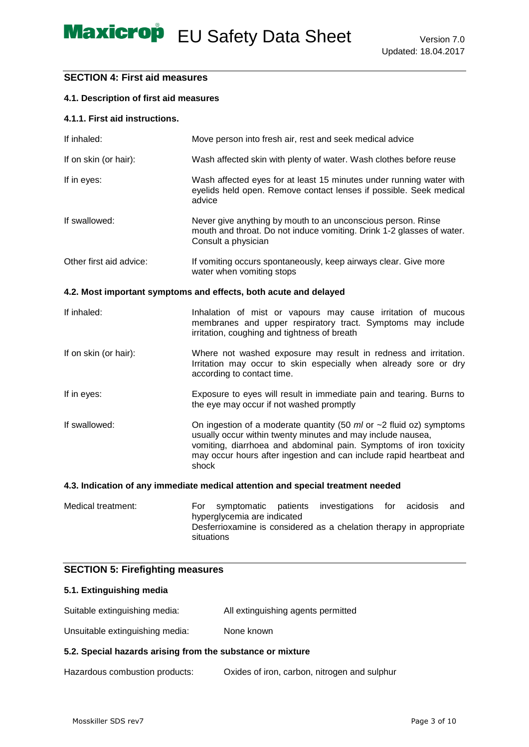## **SECTION 4: First aid measures**

### **4.1. Description of first aid measures**

### **4.1.1. First aid instructions.**

| If inhaled:             | Move person into fresh air, rest and seek medical advice                                                                                                                                                                                                                                        |
|-------------------------|-------------------------------------------------------------------------------------------------------------------------------------------------------------------------------------------------------------------------------------------------------------------------------------------------|
| If on skin (or hair):   | Wash affected skin with plenty of water. Wash clothes before reuse                                                                                                                                                                                                                              |
| If in eyes:             | Wash affected eyes for at least 15 minutes under running water with<br>eyelids held open. Remove contact lenses if possible. Seek medical<br>advice                                                                                                                                             |
| If swallowed:           | Never give anything by mouth to an unconscious person. Rinse<br>mouth and throat. Do not induce vomiting. Drink 1-2 glasses of water.<br>Consult a physician                                                                                                                                    |
| Other first aid advice: | If vomiting occurs spontaneously, keep airways clear. Give more<br>water when vomiting stops                                                                                                                                                                                                    |
|                         | 4.2. Most important symptoms and effects, both acute and delayed                                                                                                                                                                                                                                |
| If inhaled:             | Inhalation of mist or vapours may cause irritation of mucous<br>membranes and upper respiratory tract. Symptoms may include<br>irritation, coughing and tightness of breath                                                                                                                     |
| If on skin (or hair):   | Where not washed exposure may result in redness and irritation.<br>Irritation may occur to skin especially when already sore or dry<br>according to contact time.                                                                                                                               |
| If in eyes:             | Exposure to eyes will result in immediate pain and tearing. Burns to<br>the eye may occur if not washed promptly                                                                                                                                                                                |
| If swallowed:           | On ingestion of a moderate quantity (50 $ml$ or $\sim$ 2 fluid oz) symptoms<br>usually occur within twenty minutes and may include nausea,<br>vomiting, diarrhoea and abdominal pain. Symptoms of iron toxicity<br>may occur hours after ingestion and can include rapid heartbeat and<br>shock |
|                         | $\bullet$ . The discrete contribution of the discrete contribution of the contribution of a contribution of the discrete discrete $\mathbf{I}$                                                                                                                                                  |

#### **4.3. Indication of any immediate medical attention and special treatment needed**

Medical treatment: For symptomatic patients investigations for acidosis and hyperglycemia are indicated Desferrioxamine is considered as a chelation therapy in appropriate situations

## **SECTION 5: Firefighting measures**

## **5.1. Extinguishing media**

| Suitable extinguishing media: | All extinguishing agents permitted |
|-------------------------------|------------------------------------|
|                               |                                    |

Unsuitable extinguishing media: None known

### **5.2. Special hazards arising from the substance or mixture**

Hazardous combustion products: Oxides of iron, carbon, nitrogen and sulphur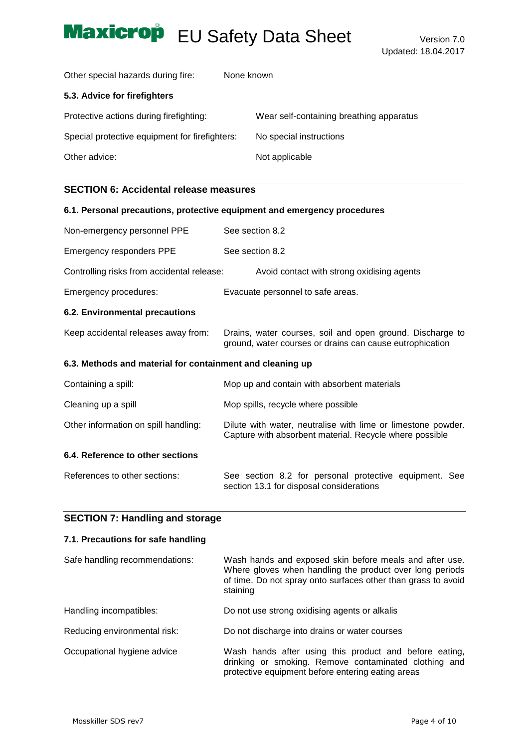Other special hazards during fire: None known

## **5.3. Advice for firefighters**

| Protective actions during firefighting:        | Wear self-containing breathing apparatus |
|------------------------------------------------|------------------------------------------|
| Special protective equipment for firefighters: | No special instructions                  |
| Other advice:                                  | Not applicable                           |

## **SECTION 6: Accidental release measures**

|                                                           | 6.1. Personal precautions, protective equipment and emergency procedures                                                |
|-----------------------------------------------------------|-------------------------------------------------------------------------------------------------------------------------|
| Non-emergency personnel PPE                               | See section 8.2                                                                                                         |
| <b>Emergency responders PPE</b>                           | See section 8.2                                                                                                         |
| Controlling risks from accidental release:                | Avoid contact with strong oxidising agents                                                                              |
| Emergency procedures:                                     | Evacuate personnel to safe areas.                                                                                       |
| 6.2. Environmental precautions                            |                                                                                                                         |
| Keep accidental releases away from:                       | Drains, water courses, soil and open ground. Discharge to<br>ground, water courses or drains can cause eutrophication   |
| 6.3. Methods and material for containment and cleaning up |                                                                                                                         |
| Containing a spill:                                       | Mop up and contain with absorbent materials                                                                             |
| Cleaning up a spill                                       | Mop spills, recycle where possible                                                                                      |
| Other information on spill handling:                      | Dilute with water, neutralise with lime or limestone powder.<br>Capture with absorbent material. Recycle where possible |
| 6.4. Reference to other sections                          |                                                                                                                         |
| References to other sections:                             | See section 8.2 for personal protective equipment. See<br>section 13.1 for disposal considerations                      |

## **SECTION 7: Handling and storage**

## **7.1. Precautions for safe handling**

| Safe handling recommendations: | Wash hands and exposed skin before meals and after use.<br>Where gloves when handling the product over long periods<br>of time. Do not spray onto surfaces other than grass to avoid<br>staining |
|--------------------------------|--------------------------------------------------------------------------------------------------------------------------------------------------------------------------------------------------|
| Handling incompatibles:        | Do not use strong oxidising agents or alkalis                                                                                                                                                    |
| Reducing environmental risk:   | Do not discharge into drains or water courses                                                                                                                                                    |
| Occupational hygiene advice    | Wash hands after using this product and before eating,<br>drinking or smoking. Remove contaminated clothing and<br>protective equipment before entering eating areas                             |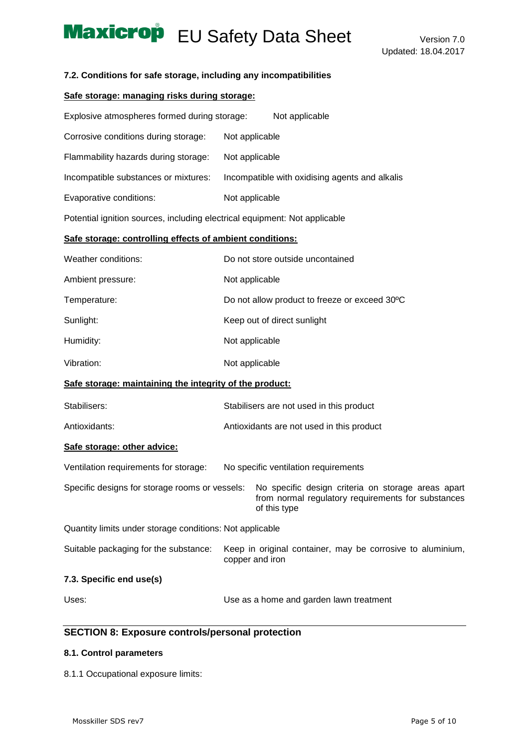### **7.2. Conditions for safe storage, including any incompatibilities**

## **Safe storage: managing risks during storage:**

| Explosive atmospheres formed during storage:                               |                                                | Not applicable                                                                                                           |  |
|----------------------------------------------------------------------------|------------------------------------------------|--------------------------------------------------------------------------------------------------------------------------|--|
| Corrosive conditions during storage:                                       | Not applicable                                 |                                                                                                                          |  |
| Flammability hazards during storage:                                       | Not applicable                                 |                                                                                                                          |  |
| Incompatible substances or mixtures:                                       | Incompatible with oxidising agents and alkalis |                                                                                                                          |  |
| Evaporative conditions:                                                    | Not applicable                                 |                                                                                                                          |  |
| Potential ignition sources, including electrical equipment: Not applicable |                                                |                                                                                                                          |  |
| Safe storage: controlling effects of ambient conditions:                   |                                                |                                                                                                                          |  |
| Weather conditions:                                                        |                                                | Do not store outside uncontained                                                                                         |  |
| Ambient pressure:                                                          | Not applicable                                 |                                                                                                                          |  |
| Temperature:                                                               |                                                | Do not allow product to freeze or exceed 30°C                                                                            |  |
| Sunlight:                                                                  |                                                | Keep out of direct sunlight                                                                                              |  |
| Humidity:                                                                  | Not applicable                                 |                                                                                                                          |  |
| Vibration:                                                                 | Not applicable                                 |                                                                                                                          |  |
| Safe storage: maintaining the integrity of the product:                    |                                                |                                                                                                                          |  |
| Stabilisers:                                                               |                                                | Stabilisers are not used in this product                                                                                 |  |
| Antioxidants:                                                              |                                                | Antioxidants are not used in this product                                                                                |  |
| Safe storage: other advice:                                                |                                                |                                                                                                                          |  |
| Ventilation requirements for storage:                                      |                                                | No specific ventilation requirements                                                                                     |  |
| Specific designs for storage rooms or vessels:                             |                                                | No specific design criteria on storage areas apart<br>from normal regulatory requirements for substances<br>of this type |  |
| Quantity limits under storage conditions: Not applicable                   |                                                |                                                                                                                          |  |
| Suitable packaging for the substance:                                      |                                                | Keep in original container, may be corrosive to aluminium,<br>copper and iron                                            |  |
| 7.3. Specific end use(s)                                                   |                                                |                                                                                                                          |  |
| Uses:                                                                      |                                                | Use as a home and garden lawn treatment                                                                                  |  |

## **SECTION 8: Exposure controls/personal protection**

## **8.1. Control parameters**

8.1.1 Occupational exposure limits: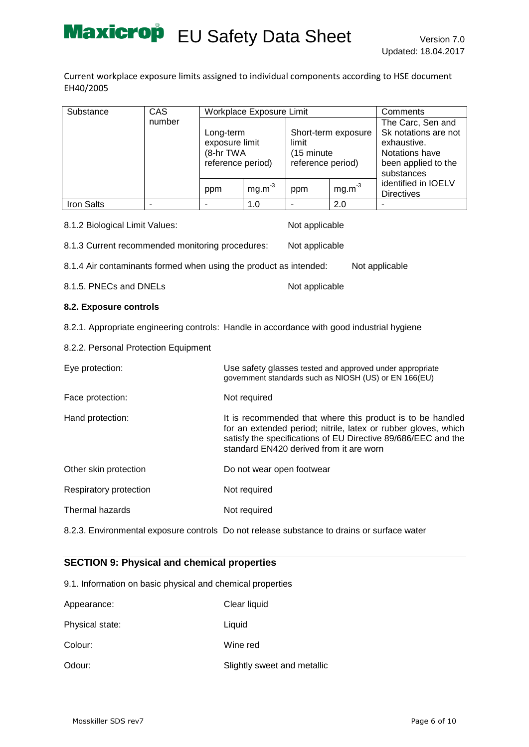Current workplace exposure limits assigned to individual components according to HSE document EH40/2005

| Substance  | CAS    |                                                               | <b>Workplace Exposure Limit</b> |                                           |                     | Comments                                                                                                        |
|------------|--------|---------------------------------------------------------------|---------------------------------|-------------------------------------------|---------------------|-----------------------------------------------------------------------------------------------------------------|
|            | number | Long-term<br>exposure limit<br>(8-hr TWA<br>reference period) |                                 | limit<br>(15 minute)<br>reference period) | Short-term exposure | The Carc, Sen and<br>Sk notations are not<br>exhaustive.<br>Notations have<br>been applied to the<br>substances |
|            |        | ppm                                                           | $mg.m-3$                        | ppm                                       | $mg.m-3$            | identified in IOELV<br><b>Directives</b>                                                                        |
| Iron Salts |        |                                                               | 1.0                             |                                           | 2.0                 |                                                                                                                 |

| 8.1.2 Biological Limit Values:                                                             |                           | Not applicable                          |                                                                                                                                                                                               |
|--------------------------------------------------------------------------------------------|---------------------------|-----------------------------------------|-----------------------------------------------------------------------------------------------------------------------------------------------------------------------------------------------|
| 8.1.3 Current recommended monitoring procedures:                                           |                           | Not applicable                          |                                                                                                                                                                                               |
| 8.1.4 Air contaminants formed when using the product as intended:                          |                           |                                         | Not applicable                                                                                                                                                                                |
| 8.1.5. PNECs and DNELs                                                                     |                           | Not applicable                          |                                                                                                                                                                                               |
| 8.2. Exposure controls                                                                     |                           |                                         |                                                                                                                                                                                               |
| 8.2.1. Appropriate engineering controls: Handle in accordance with good industrial hygiene |                           |                                         |                                                                                                                                                                                               |
| 8.2.2. Personal Protection Equipment                                                       |                           |                                         |                                                                                                                                                                                               |
| Eye protection:                                                                            |                           |                                         | Use safety glasses tested and approved under appropriate<br>government standards such as NIOSH (US) or EN 166(EU)                                                                             |
| Face protection:                                                                           | Not required              |                                         |                                                                                                                                                                                               |
| Hand protection:                                                                           |                           | standard EN420 derived from it are worn | It is recommended that where this product is to be handled<br>for an extended period; nitrile, latex or rubber gloves, which<br>satisfy the specifications of EU Directive 89/686/EEC and the |
| Other skin protection                                                                      | Do not wear open footwear |                                         |                                                                                                                                                                                               |
| Respiratory protection                                                                     | Not required              |                                         |                                                                                                                                                                                               |
| Thermal hazards                                                                            | Not required              |                                         |                                                                                                                                                                                               |

8.2.3. Environmental exposure controls Do not release substance to drains or surface water

## **SECTION 9: Physical and chemical properties**

9.1. Information on basic physical and chemical properties

| Appearance:     | Clear liquid                |
|-----------------|-----------------------------|
| Physical state: | Liquid                      |
| Colour:         | Wine red                    |
| Odour:          | Slightly sweet and metallic |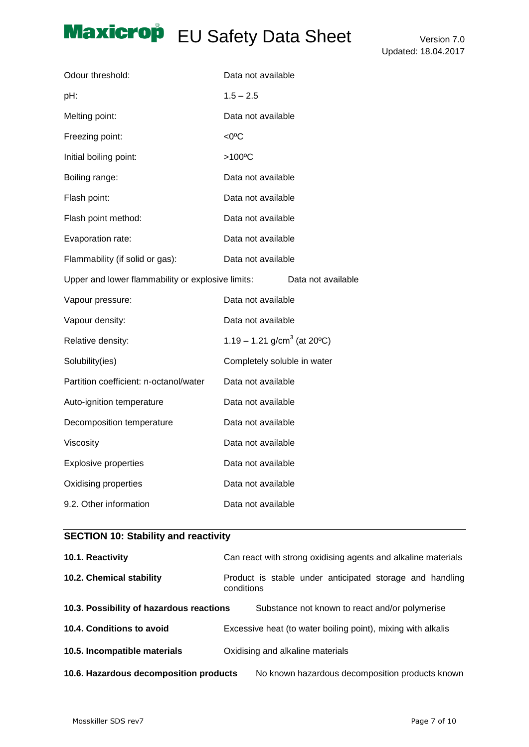| Odour threshold:                                  | Data not available                      |
|---------------------------------------------------|-----------------------------------------|
| pH:                                               | $1.5 - 2.5$                             |
| Melting point:                                    | Data not available                      |
| Freezing point:                                   | $<0$ <sup>o</sup> C                     |
| Initial boiling point:                            | >100°C                                  |
| Boiling range:                                    | Data not available                      |
| Flash point:                                      | Data not available                      |
| Flash point method:                               | Data not available                      |
| Evaporation rate:                                 | Data not available                      |
| Flammability (if solid or gas):                   | Data not available                      |
| Upper and lower flammability or explosive limits: | Data not available                      |
| Vapour pressure:                                  | Data not available                      |
| Vapour density:                                   | Data not available                      |
| Relative density:                                 | 1.19 – 1.21 g/cm <sup>3</sup> (at 20°C) |
| Solubility(ies)                                   | Completely soluble in water             |
| Partition coefficient: n-octanol/water            | Data not available                      |
| Auto-ignition temperature                         | Data not available                      |
| Decomposition temperature                         | Data not available                      |
| Viscosity                                         | Data not available                      |
| <b>Explosive properties</b>                       | Data not available                      |
| Oxidising properties                              | Data not available                      |
| 9.2. Other information                            | Data not available                      |

## **SECTION 10: Stability and reactivity**

| 10.1. Reactivity                         | Can react with strong oxidising agents and alkaline materials          |
|------------------------------------------|------------------------------------------------------------------------|
| 10.2. Chemical stability                 | Product is stable under anticipated storage and handling<br>conditions |
| 10.3. Possibility of hazardous reactions | Substance not known to react and/or polymerise                         |
| 10.4. Conditions to avoid                | Excessive heat (to water boiling point), mixing with alkalis           |
| 10.5. Incompatible materials             | Oxidising and alkaline materials                                       |
| 10.6. Hazardous decomposition products   | No known hazardous decomposition products known                        |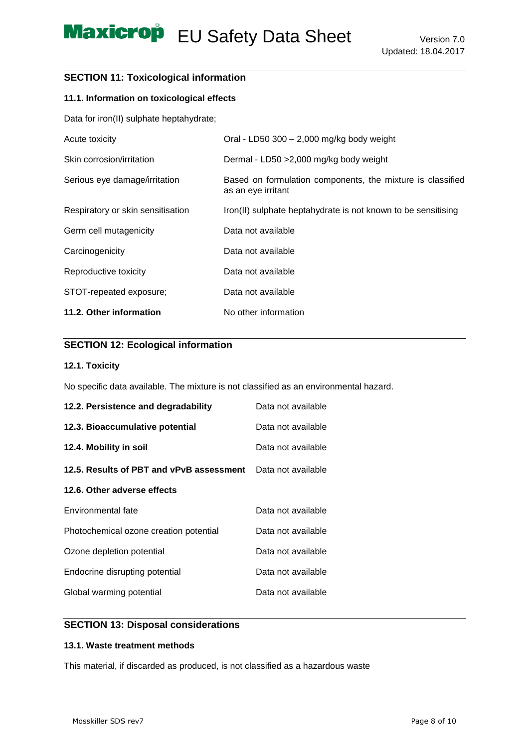## **SECTION 11: Toxicological information**

## **11.1. Information on toxicological effects**

Data for iron(II) sulphate heptahydrate;

| Acute toxicity                    | Oral - LD50 300 $-$ 2,000 mg/kg body weight                                      |
|-----------------------------------|----------------------------------------------------------------------------------|
| Skin corrosion/irritation         | Dermal - LD50 > 2,000 mg/kg body weight                                          |
| Serious eye damage/irritation     | Based on formulation components, the mixture is classified<br>as an eye irritant |
| Respiratory or skin sensitisation | Iron(II) sulphate heptahydrate is not known to be sensitising                    |
| Germ cell mutagenicity            | Data not available                                                               |
| Carcinogenicity                   | Data not available                                                               |
| Reproductive toxicity             | Data not available                                                               |
| STOT-repeated exposure;           | Data not available                                                               |
| 11.2. Other information           | No other information                                                             |

## **SECTION 12: Ecological information**

### **12.1. Toxicity**

No specific data available. The mixture is not classified as an environmental hazard.

| 12.2. Persistence and degradability      | Data not available |
|------------------------------------------|--------------------|
| 12.3. Bioaccumulative potential          | Data not available |
| 12.4. Mobility in soil                   | Data not available |
| 12.5. Results of PBT and vPvB assessment | Data not available |
| 12.6. Other adverse effects              |                    |
| Environmental fate                       | Data not available |
| Photochemical ozone creation potential   | Data not available |
| Ozone depletion potential                | Data not available |
| Endocrine disrupting potential           | Data not available |
| Global warming potential                 | Data not available |

## **SECTION 13: Disposal considerations**

## **13.1. Waste treatment methods**

This material, if discarded as produced, is not classified as a hazardous waste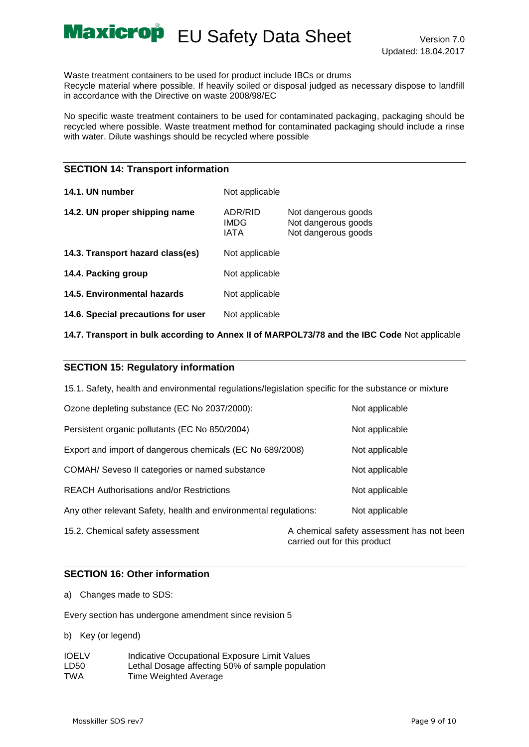Waste treatment containers to be used for product include IBCs or drums Recycle material where possible. If heavily soiled or disposal judged as necessary dispose to landfill in accordance with the Directive on waste 2008/98/EC

No specific waste treatment containers to be used for contaminated packaging, packaging should be recycled where possible. Waste treatment method for contaminated packaging should include a rinse with water. Dilute washings should be recycled where possible

### **SECTION 14: Transport information**

| 14.1. UN number                    | Not applicable          |                                                                   |
|------------------------------------|-------------------------|-------------------------------------------------------------------|
| 14.2. UN proper shipping name      | ADR/RID<br>IMDG<br>IATA | Not dangerous goods<br>Not dangerous goods<br>Not dangerous goods |
| 14.3. Transport hazard class(es)   | Not applicable          |                                                                   |
| 14.4. Packing group                | Not applicable          |                                                                   |
| 14.5. Environmental hazards        | Not applicable          |                                                                   |
| 14.6. Special precautions for user | Not applicable          |                                                                   |

**14.7. Transport in bulk according to Annex II of MARPOL73/78 and the IBC Code** Not applicable

## **SECTION 15: Regulatory information**

15.1. Safety, health and environmental regulations/legislation specific for the substance or mixture

| Ozone depleting substance (EC No 2037/2000):                     |                              | Not applicable                            |
|------------------------------------------------------------------|------------------------------|-------------------------------------------|
| Persistent organic pollutants (EC No 850/2004)                   |                              | Not applicable                            |
| Export and import of dangerous chemicals (EC No 689/2008)        |                              | Not applicable                            |
| COMAH/ Seveso II categories or named substance                   |                              | Not applicable                            |
| <b>REACH Authorisations and/or Restrictions</b>                  |                              | Not applicable                            |
| Any other relevant Safety, health and environmental regulations: |                              | Not applicable                            |
| 15.2. Chemical safety assessment                                 | carried out for this product | A chemical safety assessment has not been |

## **SECTION 16: Other information**

a) Changes made to SDS:

Every section has undergone amendment since revision 5

b) Key (or legend)

| <b>IOELV</b> | Indicative Occupational Exposure Limit Values    |
|--------------|--------------------------------------------------|
| LD50         | Lethal Dosage affecting 50% of sample population |
| <b>TWA</b>   | Time Weighted Average                            |